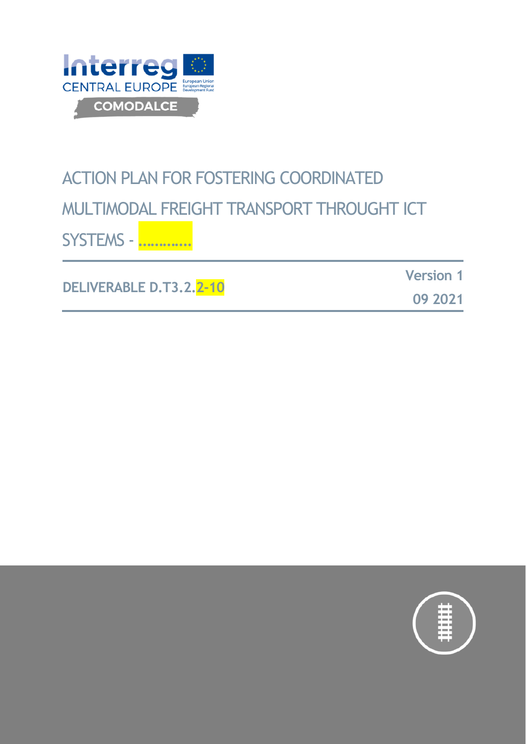

# ACTION PLAN FOR FOSTERING COORDINATED MULTIMODAL FREIGHT TRANSPORT THROUGHT ICT SYSTEMS - ………….

**DELIVERABLE D.T3.2.2-10**

**Version 1**

**09 2021**

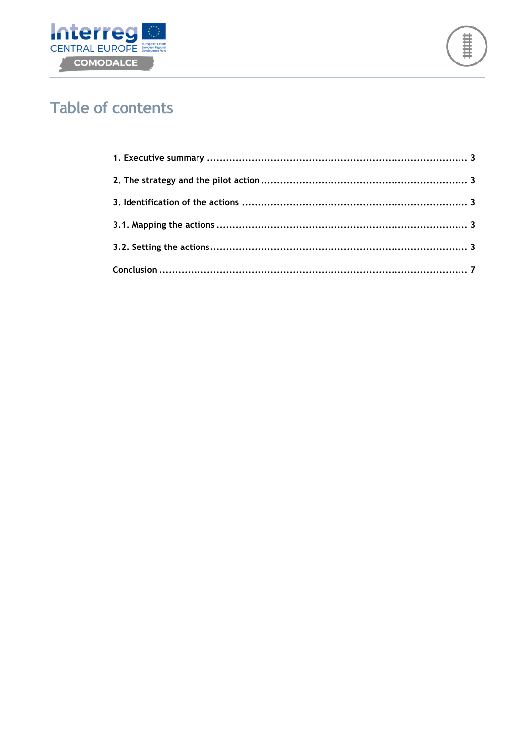



# **Table of contents**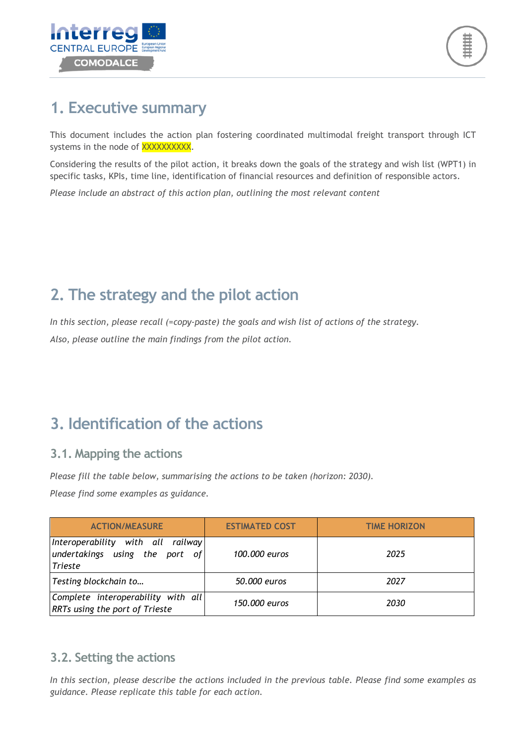

## **1. Executive summary**

This document includes the action plan fostering coordinated multimodal freight transport through ICT systems in the node of XXXXXXXXXX.

Considering the results of the pilot action, it breaks down the goals of the strategy and wish list (WPT1) in specific tasks, KPIs, time line, identification of financial resources and definition of responsible actors.

*Please include an abstract of this action plan, outlining the most relevant content* 

# **2. The strategy and the pilot action**

*In this section, please recall (=copy-paste) the goals and wish list of actions of the strategy. Also, please outline the main findings from the pilot action.* 

## **3. Identification of the actions**

#### **3.1. Mapping the actions**

*Please fill the table below, summarising the actions to be taken (horizon: 2030).* 

*Please find some examples as guidance.* 

| <b>ACTION/MEASURE</b>                                                                 | <b>ESTIMATED COST</b> | <b>TIME HORIZON</b> |
|---------------------------------------------------------------------------------------|-----------------------|---------------------|
| Interoperability with all railway<br>undertakings using the port of<br><b>Trieste</b> | 100,000 euros         | 2025                |
| Testing blockchain to                                                                 | 50,000 euros          | 2027                |
| Complete interoperability with all<br><b>RRTs using the port of Trieste</b>           | 150,000 euros         | 2030                |

#### **3.2. Setting the actions**

*In this section, please describe the actions included in the previous table. Please find some examples as guidance. Please replicate this table for each action.*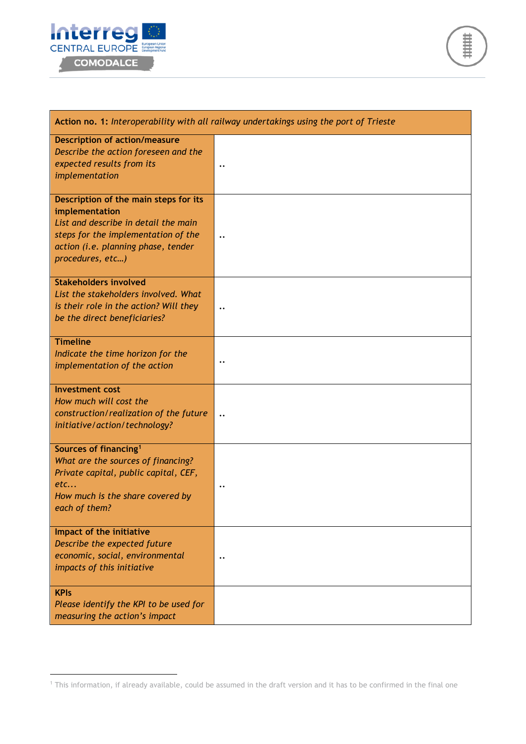

 $\overline{a}$ 



| Action no. 1: Interoperability with all railway undertakings using the port of Trieste                                                                                                            |                                        |  |
|---------------------------------------------------------------------------------------------------------------------------------------------------------------------------------------------------|----------------------------------------|--|
| <b>Description of action/measure</b><br>Describe the action foreseen and the<br>expected results from its<br>implementation                                                                       | $\ddot{\phantom{0}}\phantom{0}\bullet$ |  |
| Description of the main steps for its<br>implementation<br>List and describe in detail the main<br>steps for the implementation of the<br>action (i.e. planning phase, tender<br>procedures, etc) | $\ddot{\phantom{0}}$                   |  |
| <b>Stakeholders involved</b><br>List the stakeholders involved. What<br>is their role in the action? Will they<br>be the direct beneficiaries?                                                    |                                        |  |
| <b>Timeline</b><br>Indicate the time horizon for the<br>implementation of the action                                                                                                              | $\bullet$ .                            |  |
| <b>Investment cost</b><br>How much will cost the<br>construction/realization of the future<br>initiative/action/technology?                                                                       | $\ddot{\phantom{0}}\cdot$              |  |
| Sources of financing <sup>1</sup><br>What are the sources of financing?<br>Private capital, public capital, CEF,<br>etc<br>How much is the share covered by<br>each of them?                      | $\cdot \cdot$                          |  |
| Impact of the initiative<br>Describe the expected future<br>economic, social, environmental<br>impacts of this initiative                                                                         | $\ddot{\phantom{0}}\phantom{0}\bullet$ |  |
| <b>KPIs</b><br>Please identify the KPI to be used for<br>measuring the action's impact                                                                                                            |                                        |  |

<sup>1</sup> This information, if already available, could be assumed in the draft version and it has to be confirmed in the final one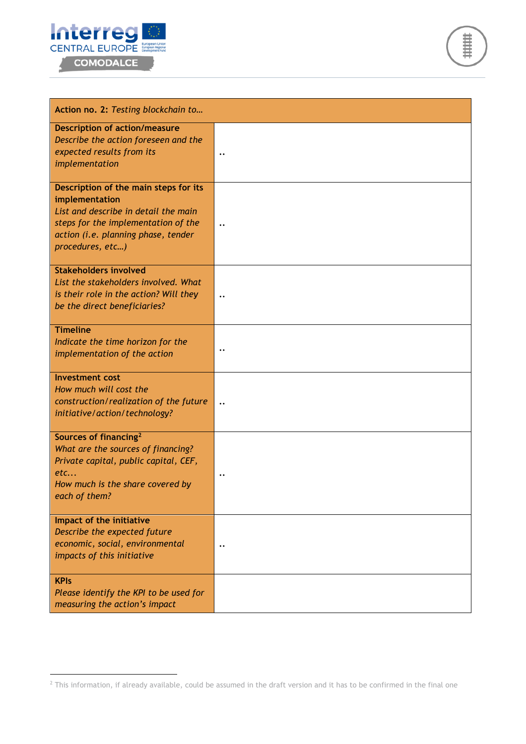

 $\overline{a}$ 



| Action no. 2: Testing blockchain to                                                                                                                                                               |                                        |  |
|---------------------------------------------------------------------------------------------------------------------------------------------------------------------------------------------------|----------------------------------------|--|
| <b>Description of action/measure</b><br>Describe the action foreseen and the<br>expected results from its<br>implementation                                                                       |                                        |  |
| Description of the main steps for its<br>implementation<br>List and describe in detail the main<br>steps for the implementation of the<br>action (i.e. planning phase, tender<br>procedures, etc) | $\ddot{\phantom{0}}\phantom{0}\bullet$ |  |
| <b>Stakeholders involved</b><br>List the stakeholders involved. What<br>is their role in the action? Will they<br>be the direct beneficiaries?                                                    | $\ddot{\phantom{0}}\cdot$              |  |
| <b>Timeline</b><br>Indicate the time horizon for the<br>implementation of the action                                                                                                              | $\ddot{\phantom{0}}$                   |  |
| <b>Investment cost</b><br>How much will cost the<br>construction/realization of the future<br>initiative/action/technology?                                                                       | $\ddot{\phantom{0}}\phantom{0}\bullet$ |  |
| Sources of financing <sup>2</sup><br>What are the sources of financing?<br>Private capital, public capital, CEF,<br>etc<br>How much is the share covered by<br>each of them?                      |                                        |  |
| Impact of the initiative<br>Describe the expected future<br>economic, social, environmental<br>impacts of this initiative                                                                         | $\bullet$ .                            |  |
| <b>KPIs</b><br>Please identify the KPI to be used for<br>measuring the action's impact                                                                                                            |                                        |  |

 $^2$  This information, if already available, could be assumed in the draft version and it has to be confirmed in the final one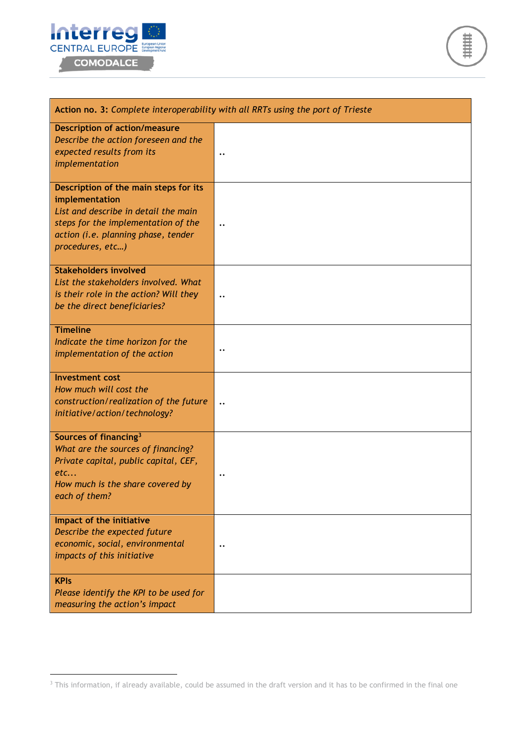

 $\overline{a}$ 

菲菲菲

| Action no. 3: Complete interoperability with all RRTs using the port of Trieste                                                                                                                   |                                        |  |
|---------------------------------------------------------------------------------------------------------------------------------------------------------------------------------------------------|----------------------------------------|--|
| <b>Description of action/measure</b><br>Describe the action foreseen and the<br>expected results from its<br>implementation                                                                       |                                        |  |
| Description of the main steps for its<br>implementation<br>List and describe in detail the main<br>steps for the implementation of the<br>action (i.e. planning phase, tender<br>procedures, etc) |                                        |  |
| <b>Stakeholders involved</b><br>List the stakeholders involved. What<br>is their role in the action? Will they<br>be the direct beneficiaries?                                                    | $\ddot{\phantom{0}}\cdot$              |  |
| <b>Timeline</b><br>Indicate the time horizon for the<br>implementation of the action                                                                                                              | $\cdot \cdot$                          |  |
| <b>Investment cost</b><br>How much will cost the<br>construction/realization of the future<br>initiative/action/technology?                                                                       | $\ddot{\phantom{0}}\cdot$              |  |
| Sources of financing <sup>3</sup><br>What are the sources of financing?<br>Private capital, public capital, CEF,<br>etc<br>How much is the share covered by<br>each of them?                      |                                        |  |
| Impact of the initiative<br>Describe the expected future<br>economic, social, environmental<br>impacts of this initiative                                                                         | $\ddot{\phantom{0}}\phantom{0}\bullet$ |  |
| <b>KPIs</b><br>Please identify the KPI to be used for<br>measuring the action's impact                                                                                                            |                                        |  |

 $3$  This information, if already available, could be assumed in the draft version and it has to be confirmed in the final one